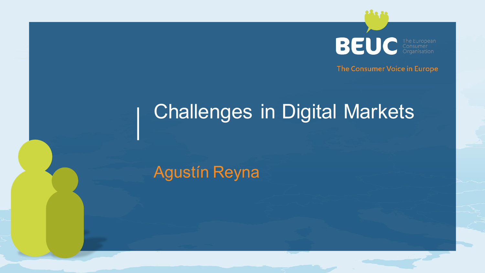**BEUC** 

The Consumer Voice in Europe

## Challenges in Digital Markets

Agustín Reyna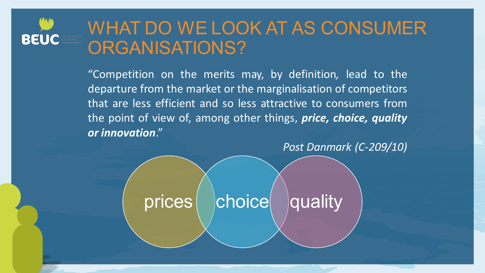## **BEUC**

## WHAT DO WE LOOK AT AS CONSUMER ORGANISATIONS?

"Competition on the merits may, by definition*,* lead to the departure from the market or the marginalisation of competitors that are less efficient and so less attractive to consumers from the point of view of, among other things, *price, choice, quality or innovation*."

*Post Danmark (C-209/10)*

prices choice quality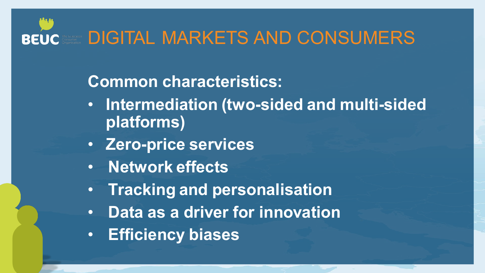### **DIGITAL MARKETS AND CONSUMERS BEUC**

### **Common characteristics:**

- **Intermediation (two-sided and multi-sided platforms)**
- **Zero-price services**
- **Network effects**
- **Tracking and personalisation**
- **Data as a driver for innovation**
- **Efficiency biases**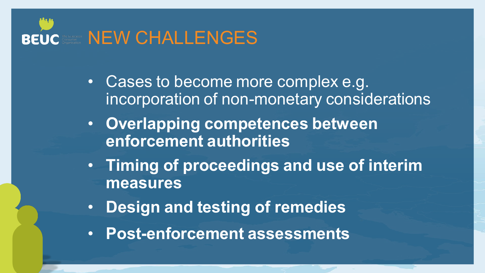

- Cases to become more complex e.g. incorporation of non-monetary considerations
- **Overlapping competences between enforcement authorities**
- **Timing of proceedings and use of interim measures**
- **Design and testing of remedies**
- **Post-enforcement assessments**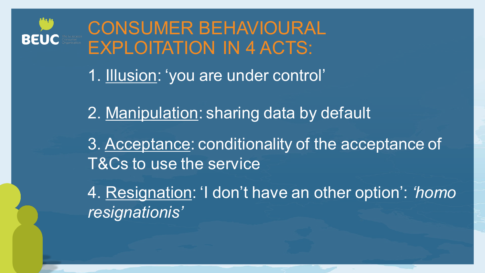

## CONSUMER BEHAVIOURAL EXPLOITATION IN 4 ACTS:

1. Illusion: 'you are under control'

2. Manipulation: sharing data by default

3. Acceptance: conditionality of the acceptance of T&Cs to use the service

4. Resignation: 'I don't have an other option': *'homo resignationis'*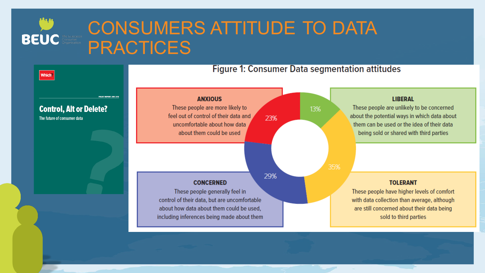

## CONSUMERS ATTITUDE TO DATA PRACTICES

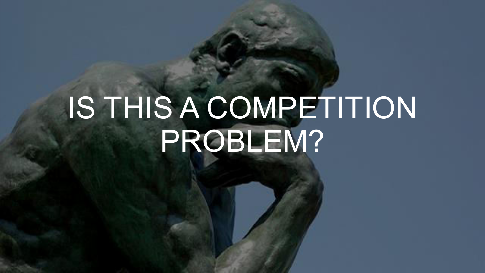# IS THIS A COMPETITION PROBLEM?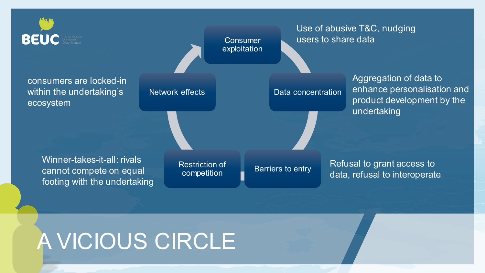

## A VICIOUS CIRCLE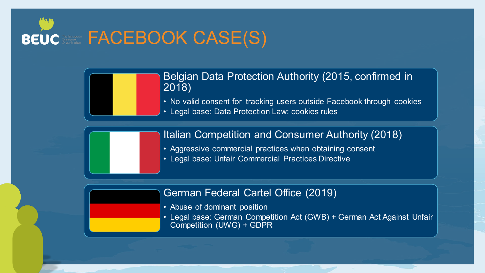



### Belgian Data Protection Authority (2015, confirmed in 2018)

- No valid consent for tracking users outside Facebook through cookies
- Legal base: Data Protection Law: cookies rules

Italian Competition and Consumer Authority (2018)

- Aggressive commercial practices when obtaining consent
- Legal base: Unfair Commercial Practices Directive

### German Federal Cartel Office (2019)

- Abuse of dominant position
- Legal base: German Competition Act (GWB) + German Act Against Unfair Competition (UWG) + GDPR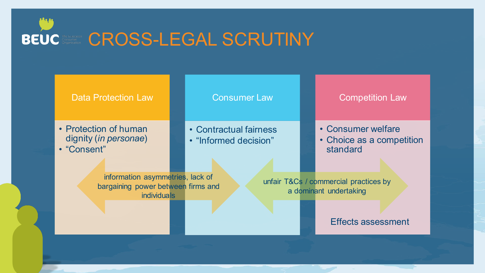



• Protection of human dignity (*in personae*) • "Consent"

#### Consumer Law

• Contractual fairness

• "Informed decision"

#### Competition Law

- Consumer welfare
- Choice as a competition standard

information asymmetries, lack of bargaining power between firms and **individuals** 

unfair T&Cs / commercial practices by a dominant undertaking

Effects assessment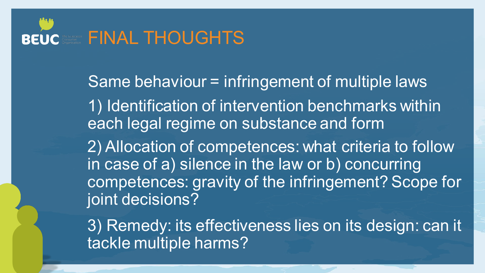

Same behaviour = infringement of multiple laws 1) Identification of intervention benchmarks within each legal regime on substance and form 2) Allocation of competences: what criteria to follow in case of a) silence in the law or b) concurring competences: gravity of the infringement? Scope for joint decisions?

3) Remedy: its effectiveness lies on its design: can it tackle multiple harms?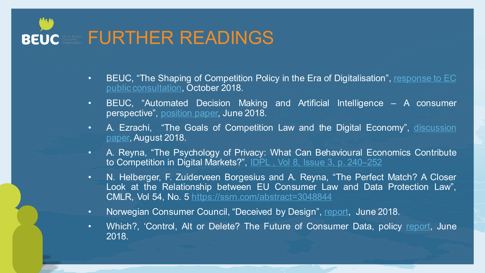

- BEUC, "The Shaping of Competition Policy in the Era of Digitalisation", [response to](https://www.beuc.eu/publications/beuc-x-2018-084_beuc_response_shaping_of_competition_policy.pdf) [EC](https://www.beuc.eu/publications/beuc-x-2018-084_beuc_response_shaping_of_competition_policy.pdf) [public consultation,](https://www.beuc.eu/publications/beuc-x-2018-084_beuc_response_shaping_of_competition_policy.pdf) October 2018.
- BEUC, "Automated Decision Making and Artificial Intelligence A consumer perspective", [position paper](https://www.beuc.eu/publications/beuc-x-2018-058_automated_decision_making_and_artificial_intelligence.pdf), June 2018.
- A. Ezrachi, "The Goals of Competition Law and the Digital Economy", discussion [paper](chrome-extension://oemmndcbldboiebfnladdacbdfmadadm/https:/www.beuc.eu/publications/beuc-x-2018-071_goals_of_eu_competition_law_and_digital_economy.pdf), August 2018.
- A. Reyna, "The Psychology of Privacy: What Can Behavioural Economics Contribute to Competition in Digital Markets?", [IDPL , Vol 8, Issue 3, p. 240](https://academic.oup.com/idpl/article/8/3/240/5198971)[–](https://academic.oup.com/idpl/article/8/3/240/5198971)[252](https://academic.oup.com/idpl/article/8/3/240/5198971)
- N. Helberger, F. Zuiderveen Borgesius and A. Reyna, "The Perfect Match? A Closer Look at the Relationship between EU Consumer Law and Data Protection Law", CMLR, Vol 54, No. 5<https://ssrn.com/abstract=3048844>
- Norwegian Consumer Council, "Deceived by Design", [report](https://fil.forbrukerradet.no/wp-content/uploads/2018/06/2018-06-27-deceived-by-design-final.pdf), June 2018.
- Which?, 'Control, Alt or Delete? The Future of Consumer Data, policy [report](https://www.which.co.uk/policy/digitisation/2659/control-alt-or-delete-the-future-of-consumer-data-main-report), June 2018.